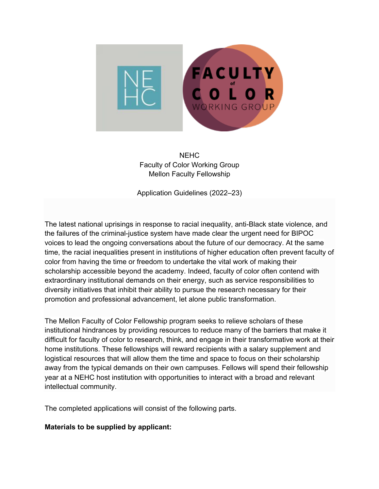

NEHC Faculty of Color Working Group Mellon Faculty Fellowship

Application Guidelines (2022–23)

The latest national uprisings in response to racial inequality, anti-Black state violence, and the failures of the criminal-justice system have made clear the urgent need for BIPOC voices to lead the ongoing conversations about the future of our democracy. At the same time, the racial inequalities present in institutions of higher education often prevent faculty of color from having the time or freedom to undertake the vital work of making their scholarship accessible beyond the academy. Indeed, faculty of color often contend with extraordinary institutional demands on their energy, such as service responsibilities to diversity initiatives that inhibit their ability to pursue the research necessary for their promotion and professional advancement, let alone public transformation.

The Mellon Faculty of Color Fellowship program seeks to relieve scholars of these institutional hindrances by providing resources to reduce many of the barriers that make it difficult for faculty of color to research, think, and engage in their transformative work at their home institutions. These fellowships will reward recipients with a salary supplement and logistical resources that will allow them the time and space to focus on their scholarship away from the typical demands on their own campuses. Fellows will spend their fellowship year at a NEHC host institution with opportunities to interact with a broad and relevant intellectual community.

The completed applications will consist of the following parts.

## **Materials to be supplied by applicant:**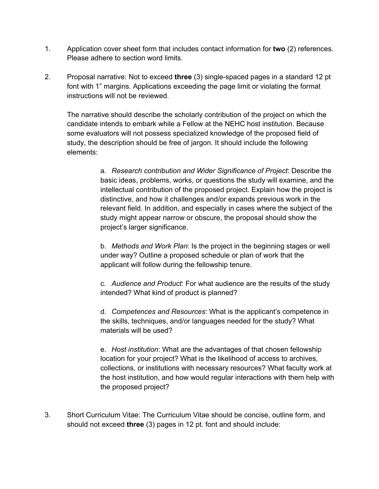- 1. Application cover sheet form that includes contact information for **two** (2) references. Please adhere to section word limits.
- 2. Proposal narrative: Not to exceed **three** (3) single-spaced pages in a standard 12 pt font with 1" margins. Applications exceeding the page limit or violating the format instructions will not be reviewed.

The narrative should describe the scholarly contribution of the project on which the candidate intends to embark while a Fellow at the NEHC host institution. Because some evaluators will not possess specialized knowledge of the proposed field of study, the description should be free of jargon. It should include the following elements:

> a. *Research contribution and Wider Significance of Project*: Describe the basic ideas, problems, works, or questions the study will examine, and the intellectual contribution of the proposed project. Explain how the project is distinctive, and how it challenges and/or expands previous work in the relevant field. In addition, and especially in cases where the subject of the study might appear narrow or obscure, the proposal should show the project's larger significance.

b. *Methods and Work Plan*: Is the project in the beginning stages or well under way? Outline a proposed schedule or plan of work that the applicant will follow during the fellowship tenure.

c. *Audience and Product*: For what audience are the results of the study intended? What kind of product is planned?

d. *Competences and Resources*: What is the applicant's competence in the skills, techniques, and/or languages needed for the study? What materials will be used?

e. *Host institution*: What are the advantages of that chosen fellowship location for your project? What is the likelihood of access to archives, collections, or institutions with necessary resources? What faculty work at the host institution, and how would regular interactions with them help with the proposed project?

3. Short Curriculum Vitae: The Curriculum Vitae should be concise, outline form, and should not exceed **three** (3) pages in 12 pt. font and should include: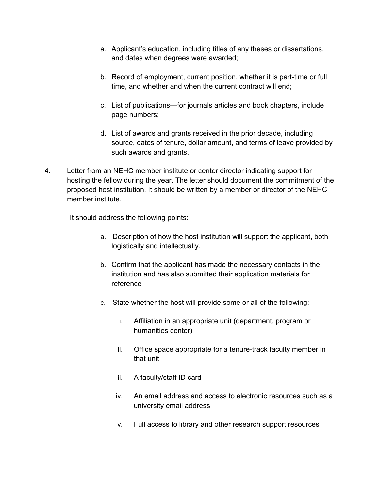- a. Applicant's education, including titles of any theses or dissertations, and dates when degrees were awarded;
- b. Record of employment, current position, whether it is part-time or full time, and whether and when the current contract will end;
- c. List of publications—for journals articles and book chapters, include page numbers;
- d. List of awards and grants received in the prior decade, including source, dates of tenure, dollar amount, and terms of leave provided by such awards and grants.
- 4. Letter from an NEHC member institute or center director indicating support for hosting the fellow during the year. The letter should document the commitment of the proposed host institution. It should be written by a member or director of the NEHC member institute.

It should address the following points:

- a. Description of how the host institution will support the applicant, both logistically and intellectually.
- b. Confirm that the applicant has made the necessary contacts in the institution and has also submitted their application materials for reference
- c. State whether the host will provide some or all of the following:
	- i. Affiliation in an appropriate unit (department, program or humanities center)
	- ii. Office space appropriate for a tenure-track faculty member in that unit
	- iii. A faculty/staff ID card
	- iv. An email address and access to electronic resources such as a university email address
	- v. Full access to library and other research support resources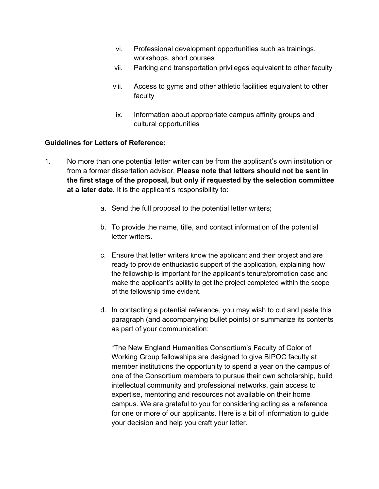- vi. Professional development opportunities such as trainings, workshops, short courses
- vii. Parking and transportation privileges equivalent to other faculty
- viii. Access to gyms and other athletic facilities equivalent to other faculty
- ix. Information about appropriate campus affinity groups and cultural opportunities

## **Guidelines for Letters of Reference:**

- 1. No more than one potential letter writer can be from the applicant's own institution or from a former dissertation advisor. **Please note that letters should not be sent in the first stage of the proposal, but only if requested by the selection committee at a later date.** It is the applicant's responsibility to:
	- a. Send the full proposal to the potential letter writers;
	- b. To provide the name, title, and contact information of the potential letter writers.
	- c. Ensure that letter writers know the applicant and their project and are ready to provide enthusiastic support of the application, explaining how the fellowship is important for the applicant's tenure/promotion case and make the applicant's ability to get the project completed within the scope of the fellowship time evident.
	- d. In contacting a potential reference, you may wish to cut and paste this paragraph (and accompanying bullet points) or summarize its contents as part of your communication:

"The New England Humanities Consortium's Faculty of Color of Working Group fellowships are designed to give BIPOC faculty at member institutions the opportunity to spend a year on the campus of one of the Consortium members to pursue their own scholarship, build intellectual community and professional networks, gain access to expertise, mentoring and resources not available on their home campus. We are grateful to you for considering acting as a reference for one or more of our applicants. Here is a bit of information to guide your decision and help you craft your letter.